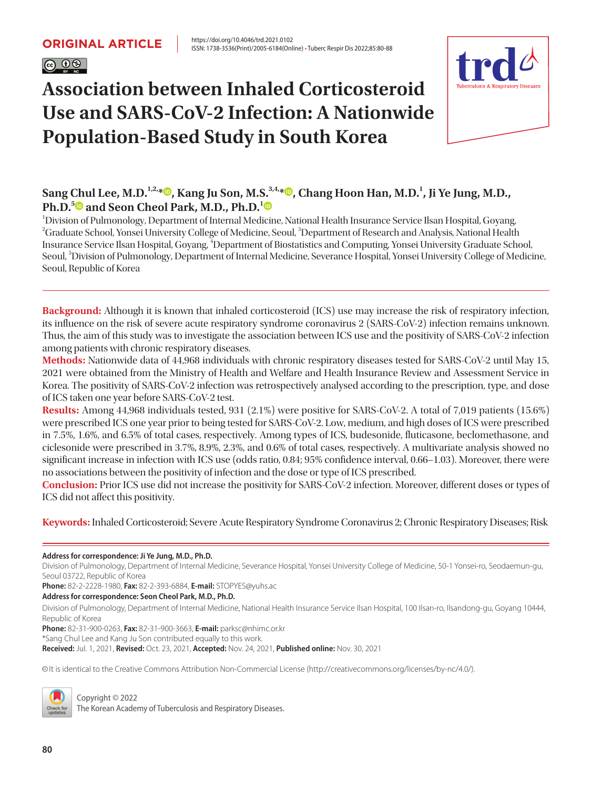

# **Association between Inhaled Corticosteroid Use and SARS-CoV-2 Infection: A Nationwide Population-Based Study in South Korea**



### $\boldsymbol{\mathrm{Sang}}$  Chul Lee[,](https://orcid.org/0000-0003-3272-7397) M.D.<sup>1,2,</sup>\* $\boldsymbol{\mathbb{D}},$  Kang Ju Son, M.S. $^{3,4, *}$  $\boldsymbol{\mathbb{D}},$  Chang Hoon Han, M.D.<sup>1</sup>, Ji Ye Jung, M.D., **Ph.D.[5](https://orcid.org/0000-0003-1589-4142) and Seon Cheol Park, M.D., Ph.D.[1](https://orcid.org/0000-0002-7926-1945)**

1 Division of Pulmonology, Department of Internal Medicine, National Health Insurance Service Ilsan Hospital, Goyang, <sup>2</sup>Graduate School, Yonsei University College of Medicine, Seoul, <sup>3</sup>Department of Research and Analysis, National Health Insurance Service Ilsan Hospital, Goyang, 4 Department of Biostatistics and Computing, Yonsei University Graduate School, Seoul, <sup>5</sup>Division of Pulmonology, Department of Internal Medicine, Severance Hospital, Yonsei University College of Medicine, Seoul, Republic of Korea

**Background:** Although it is known that inhaled corticosteroid (ICS) use may increase the risk of respiratory infection, its influence on the risk of severe acute respiratory syndrome coronavirus 2 (SARS-CoV-2) infection remains unknown. Thus, the aim of this study was to investigate the association between ICS use and the positivity of SARS-CoV-2 infection among patients with chronic respiratory diseases.

**Methods:** Nationwide data of 44,968 individuals with chronic respiratory diseases tested for SARS-CoV-2 until May 15, 2021 were obtained from the Ministry of Health and Welfare and Health Insurance Review and Assessment Service in Korea. The positivity of SARS-CoV-2 infection was retrospectively analysed according to the prescription, type, and dose of ICS taken one year before SARS-CoV-2 test.

**Results:** Among 44,968 individuals tested, 931 (2.1%) were positive for SARS-CoV-2. A total of 7,019 patients (15.6%) were prescribed ICS one year prior to being tested for SARS-CoV-2. Low, medium, and high doses of ICS were prescribed in 7.5%, 1.6%, and 6.5% of total cases, respectively. Among types of ICS, budesonide, fluticasone, beclomethasone, and ciclesonide were prescribed in 3.7%, 8.9%, 2.3%, and 0.6% of total cases, respectively. A multivariate analysis showed no significant increase in infection with ICS use (odds ratio, 0.84; 95% confidence interval, 0.66–1.03). Moreover, there were no associations between the positivity of infection and the dose or type of ICS prescribed.

**Conclusion:** Prior ICS use did not increase the positivity for SARS-CoV-2 infection. Moreover, different doses or types of ICS did not affect this positivity.

**Keywords:** Inhaled Corticosteroid; Severe Acute Respiratory Syndrome Coronavirus 2; Chronic Respiratory Diseases; Risk

**Address for correspondence: Ji Ye Jung, M.D., Ph.D.**

Division of Pulmonology, Department of Internal Medicine, Severance Hospital, Yonsei University College of Medicine, 50-1 Yonsei-ro, Seodaemun-gu, Seoul 03722, Republic of Korea

**Phone:** 82-2-2228-1980, **Fax:** 82-2-393-6884, **E-mail:** [STOPYES@yuhs.ac](mailto:STOPYES@yuhs.ac)

**Address for correspondence: Seon Cheol Park, M.D., Ph.D.**

Division of Pulmonology, Department of Internal Medicine, National Health Insurance Service Ilsan Hospital, 100 Ilsan-ro, Ilsandong-gu, Goyang 10444, Republic of Korea

**Phone:** 82-31-900-0263, **Fax:** 82-31-900-3663, **E-mail:** [parksc@nhimc.or.kr](mailto:parksc@nhimc.or.kr)

\*Sang Chul Lee and Kang Ju Son contributed equally to this work.

**Received:** Jul. 1, 2021, **Revised:** Oct. 23, 2021, **Accepted:** Nov. 24, 2021, **Published online:** Nov. 30, 2021

cc It is identical to the Creative Commons Attribution Non-Commercial License (http://creativecommons.org/licenses/by-nc/4.0/).



Copyright © 2022

The Korean Academy of Tuberculosis and Respiratory Diseases.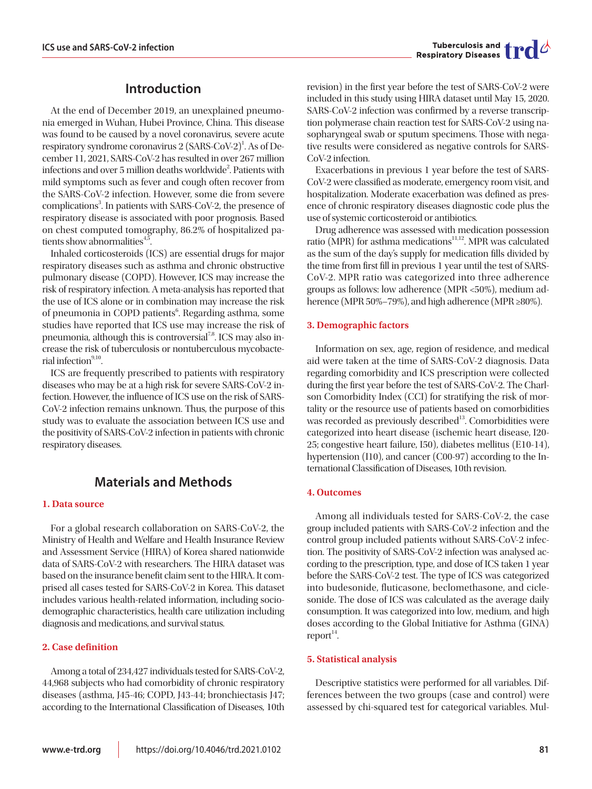## **Introduction**

At the end of December 2019, an unexplained pneumonia emerged in Wuhan, Hubei Province, China. This disease was found to be caused by a novel coronavirus, severe acute respiratory syndrome coronavirus 2 (SARS-CoV-2)<sup>1</sup>. As of December 11, 2021, SARS-CoV-2 has resulted in over 267 million infections and over 5 million deaths worldwide<sup>2</sup>. Patients with mild symptoms such as fever and cough often recover from the SARS-CoV-2 infection. However, some die from severe complications<sup>3</sup>. In patients with SARS-CoV-2, the presence of respiratory disease is associated with poor prognosis. Based on chest computed tomography, 86.2% of hospitalized patients show abnormalities $4,5$ .

Inhaled corticosteroids (ICS) are essential drugs for major respiratory diseases such as asthma and chronic obstructive pulmonary disease (COPD). However, ICS may increase the risk of respiratory infection. A meta-analysis has reported that the use of ICS alone or in combination may increase the risk of pneumonia in COPD patients<sup>6</sup>. Regarding asthma, some studies have reported that ICS use may increase the risk of pneumonia, although this is controversial<sup> $7,8$ </sup>. ICS may also increase the risk of tuberculosis or nontuberculous mycobacterial infection $9,10$ 

ICS are frequently prescribed to patients with respiratory diseases who may be at a high risk for severe SARS-CoV-2 infection. However, the influence of ICS use on the risk of SARS-CoV-2 infection remains unknown. Thus, the purpose of this study was to evaluate the association between ICS use and the positivity of SARS-CoV-2 infection in patients with chronic respiratory diseases.

### **Materials and Methods**

#### **1. Data source**

For a global research collaboration on SARS-CoV-2, the Ministry of Health and Welfare and Health Insurance Review and Assessment Service (HIRA) of Korea shared nationwide data of SARS-CoV-2 with researchers. The HIRA dataset was based on the insurance benefit claim sent to the HIRA. It comprised all cases tested for SARS-CoV-2 in Korea. This dataset includes various health-related information, including sociodemographic characteristics, health care utilization including diagnosis and medications, and survival status.

#### **2. Case definition**

Among a total of 234,427 individuals tested for SARS-CoV-2, 44,968 subjects who had comorbidity of chronic respiratory diseases (asthma, J45-46; COPD, J43-44; bronchiectasis J47; according to the International Classification of Diseases, 10th

revision) in the first year before the test of SARS-CoV-2 were included in this study using HIRA dataset until May 15, 2020. SARS-CoV-2 infection was confirmed by a reverse transcription polymerase chain reaction test for SARS-CoV-2 using nasopharyngeal swab or sputum specimens. Those with negative results were considered as negative controls for SARS-CoV-2 infection.

Exacerbations in previous 1 year before the test of SARS-CoV-2 were classified as moderate, emergency room visit, and hospitalization. Moderate exacerbation was defined as presence of chronic respiratory diseases diagnostic code plus the use of systemic corticosteroid or antibiotics.

Drug adherence was assessed with medication possession ratio (MPR) for asthma medications<sup>11,12</sup>. MPR was calculated as the sum of the day's supply for medication fills divided by the time from first fill in previous 1 year until the test of SARS-CoV-2. MPR ratio was categorized into three adherence groups as follows: low adherence (MPR <50%), medium adherence (MPR 50%–79%), and high adherence (MPR ≥80%).

#### **3. Demographic factors**

Information on sex, age, region of residence, and medical aid were taken at the time of SARS-CoV-2 diagnosis. Data regarding comorbidity and ICS prescription were collected during the first year before the test of SARS-CoV-2. The Charlson Comorbidity Index (CCI) for stratifying the risk of mortality or the resource use of patients based on comorbidities was recorded as previously described<sup>13</sup>. Comorbidities were categorized into heart disease (ischemic heart disease, I20- 25; congestive heart failure, I50), diabetes mellitus (E10-14), hypertension (I10), and cancer (C00-97) according to the International Classification of Diseases, 10th revision.

#### **4. Outcomes**

Among all individuals tested for SARS-CoV-2, the case group included patients with SARS-CoV-2 infection and the control group included patients without SARS-CoV-2 infection. The positivity of SARS-CoV-2 infection was analysed according to the prescription, type, and dose of ICS taken 1 year before the SARS-CoV-2 test. The type of ICS was categorized into budesonide, fluticasone, beclomethasone, and ciclesonide. The dose of ICS was calculated as the average daily consumption. It was categorized into low, medium, and high doses according to the Global Initiative for Asthma (GINA) report $14$ .

#### **5. Statistical analysis**

Descriptive statistics were performed for all variables. Differences between the two groups (case and control) were assessed by chi-squared test for categorical variables. Mul-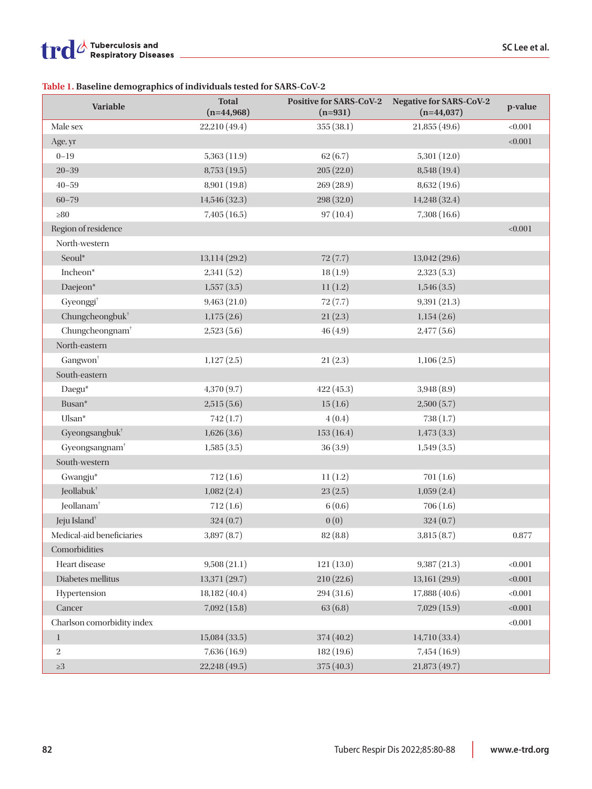### **Table 1. Baseline demographics of individuals tested for SARS-CoV-2**

| <b>Variable</b>             | <b>Total</b><br>$(n=44,968)$ | <b>Positive for SARS-CoV-2</b><br>$(n=931)$ | <b>Negative for SARS-CoV-2</b><br>$(n=44,037)$ | p-value |
|-----------------------------|------------------------------|---------------------------------------------|------------------------------------------------|---------|
| Male sex                    | 22,210 (49.4)                | 355(38.1)                                   | 21,855 (49.6)                                  | < 0.001 |
| Age, yr                     |                              |                                             |                                                | < 0.001 |
| $0 - 19$                    | 5,363(11.9)                  | 62(6.7)                                     | 5,301(12.0)                                    |         |
| $20 - 39$                   | 8,753(19.5)                  | 205(22.0)                                   | 8,548 (19.4)                                   |         |
| $40 - 59$                   | 8,901 (19.8)                 | 269(28.9)                                   | 8,632 (19.6)                                   |         |
| $60 - 79$                   | 14,546 (32.3)                | 298 (32.0)                                  | 14,248 (32.4)                                  |         |
| $\geq 80$                   | 7,405(16.5)                  | 97(10.4)                                    | 7,308(16.6)                                    |         |
| Region of residence         |                              |                                             |                                                | < 0.001 |
| North-western               |                              |                                             |                                                |         |
| Seoul*                      | 13,114 (29.2)                | 72(7.7)                                     | 13,042 (29.6)                                  |         |
| Incheon*                    | 2,341(5.2)                   | 18(1.9)                                     | 2,323(5.3)                                     |         |
| Daejeon*                    | 1,557(3.5)                   | 11(1.2)                                     | 1,546(3.5)                                     |         |
| Gyeonggi <sup>+</sup>       | 9,463(21.0)                  | 72(7.7)                                     | 9,391(21.3)                                    |         |
| Chungcheongbuk <sup>+</sup> | 1,175(2.6)                   | 21(2.3)                                     | 1,154(2.6)                                     |         |
| Chungcheongnam <sup>+</sup> | 2,523(5.6)                   | 46(4.9)                                     | 2,477(5.6)                                     |         |
| North-eastern               |                              |                                             |                                                |         |
| Gangwon <sup>+</sup>        | 1,127(2.5)                   | 21(2.3)                                     | 1,106(2.5)                                     |         |
| South-eastern               |                              |                                             |                                                |         |
| Daegu*                      | 4,370(9.7)                   | 422(45.3)                                   | 3,948(8.9)                                     |         |
| Busan*                      | 2,515(5.6)                   | 15(1.6)                                     | 2,500(5.7)                                     |         |
| Ulsan*                      | 742(1.7)                     | 4(0.4)                                      | 738(1.7)                                       |         |
| Gyeongsangbuk <sup>+</sup>  | 1,626(3.6)                   | 153(16.4)                                   | 1,473(3.3)                                     |         |
| Gyeongsangnam <sup>+</sup>  | 1,585(3.5)                   | 36(3.9)                                     | 1,549(3.5)                                     |         |
| South-western               |                              |                                             |                                                |         |
| Gwangju*                    | 712(1.6)                     | 11(1.2)                                     | 701(1.6)                                       |         |
| Jeollabuk <sup>†</sup>      | 1,082(2.4)                   | 23(2.5)                                     | 1,059(2.4)                                     |         |
| Jeollanam <sup>+</sup>      | 712(1.6)                     | 6(0.6)                                      | 706(1.6)                                       |         |
| Jeju Island <sup>+</sup>    | 324(0.7)                     | 0(0)                                        | 324(0.7)                                       |         |
| Medical-aid beneficiaries   | 3,897(8.7)                   | 82(8.8)                                     | 3,815(8.7)                                     | 0.877   |
| Comorbidities               |                              |                                             |                                                |         |
| Heart disease               | 9,508(21.1)                  | 121(13.0)                                   | 9,387(21.3)                                    | < 0.001 |
| Diabetes mellitus           | 13,371 (29.7)                | 210(22.6)                                   | 13,161 (29.9)                                  | < 0.001 |
| Hypertension                | 18,182 (40.4)                | 294(31.6)                                   | 17,888 (40.6)                                  | < 0.001 |
| Cancer                      | 7,092(15.8)                  | 63(6.8)                                     | 7,029(15.9)                                    | < 0.001 |
| Charlson comorbidity index  |                              |                                             |                                                | < 0.001 |
| $\mathbf{1}$                | 15,084(33.5)                 | 374 (40.2)                                  | 14,710 (33.4)                                  |         |
| $\,2$                       | 7,636(16.9)                  | 182 (19.6)                                  | 7,454 (16.9)                                   |         |
| $\geq\!\!3$                 | 22,248 (49.5)                | 375 (40.3)                                  | 21,873 (49.7)                                  |         |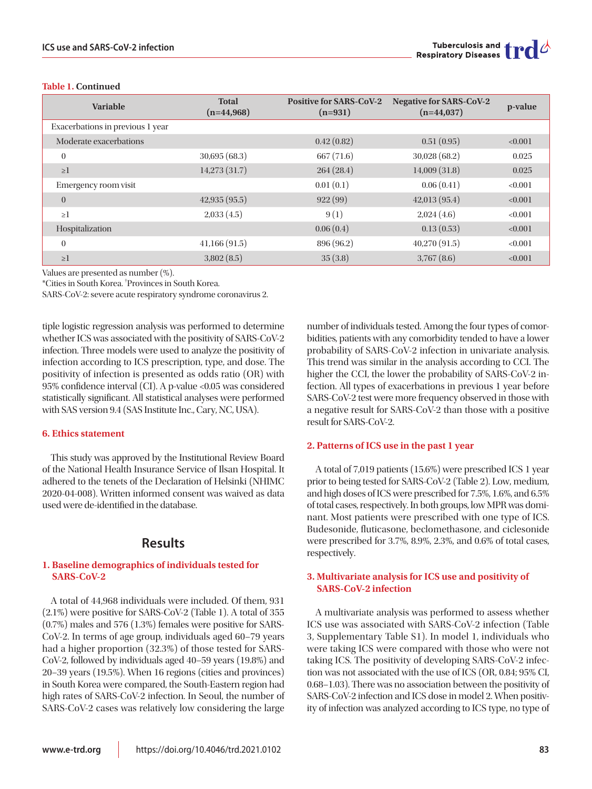#### **Table 1. Continued**

| Variable                         | <b>Total</b><br>$(n=44,968)$ | <b>Positive for SARS-CoV-2</b><br>$(n=931)$ | <b>Negative for SARS-CoV-2</b><br>$(n=44,037)$ | p-value |
|----------------------------------|------------------------------|---------------------------------------------|------------------------------------------------|---------|
| Exacerbations in previous 1 year |                              |                                             |                                                |         |
| Moderate exacerbations           |                              | 0.42(0.82)                                  | 0.51(0.95)                                     | < 0.001 |
| $\theta$                         | 30,695(68.3)                 | 667 (71.6)                                  | 30,028(68.2)                                   | 0.025   |
| $\geq$ 1                         | 14,273(31.7)                 | 264(28.4)                                   | 14,009(31.8)                                   | 0.025   |
| Emergency room visit             |                              | 0.01(0.1)                                   | 0.06(0.41)                                     | < 0.001 |
| $\overline{0}$                   | 42,935(95.5)                 | 922(99)                                     | 42,013(95.4)                                   | < 0.001 |
| $\geq$ 1                         | 2,033(4.5)                   | 9(1)                                        | 2,024(4.6)                                     | < 0.001 |
| Hospitalization                  |                              | 0.06(0.4)                                   | 0.13(0.53)                                     | < 0.001 |
| $\theta$                         | 41,166(91.5)                 | 896 (96.2)                                  | 40,270(91.5)                                   | < 0.001 |
| $\geq$ 1                         | 3,802(8.5)                   | 35(3.8)                                     | 3,767(8.6)                                     | < 0.001 |

Values are presented as number (%).

\*Cities in South Korea. † Provinces in South Korea.

SARS-CoV-2: severe acute respiratory syndrome coronavirus 2.

tiple logistic regression analysis was performed to determine whether ICS was associated with the positivity of SARS-CoV-2 infection. Three models were used to analyze the positivity of infection according to ICS prescription, type, and dose. The positivity of infection is presented as odds ratio (OR) with 95% confidence interval (CI). A p-value <0.05 was considered statistically significant. All statistical analyses were performed with SAS version 9.4 (SAS Institute Inc., Cary, NC, USA).

#### **6. Ethics statement**

This study was approved by the Institutional Review Board of the National Health Insurance Service of Ilsan Hospital. It adhered to the tenets of the Declaration of Helsinki (NHIMC 2020-04-008). Written informed consent was waived as data used were de-identified in the database.

### **Results**

#### **1. Baseline demographics of individuals tested for SARS-CoV-2**

A total of 44,968 individuals were included. Of them, 931 (2.1%) were positive for SARS-CoV-2 (Table 1). A total of 355 (0.7%) males and 576 (1.3%) females were positive for SARS-CoV-2. In terms of age group, individuals aged 60–79 years had a higher proportion (32.3%) of those tested for SARS-CoV-2, followed by individuals aged 40–59 years (19.8%) and 20–39 years (19.5%). When 16 regions (cities and provinces) in South Korea were compared, the South-Eastern region had high rates of SARS-CoV-2 infection. In Seoul, the number of SARS-CoV-2 cases was relatively low considering the large

number of individuals tested. Among the four types of comorbidities, patients with any comorbidity tended to have a lower probability of SARS-CoV-2 infection in univariate analysis. This trend was similar in the analysis according to CCI. The higher the CCI, the lower the probability of SARS-CoV-2 infection. All types of exacerbations in previous 1 year before SARS-CoV-2 test were more frequency observed in those with a negative result for SARS-CoV-2 than those with a positive result for SARS-CoV-2.

#### **2. Patterns of ICS use in the past 1 year**

A total of 7,019 patients (15.6%) were prescribed ICS 1 year prior to being tested for SARS-CoV-2 (Table 2). Low, medium, and high doses of ICS were prescribed for 7.5%, 1.6%, and 6.5% of total cases, respectively. In both groups, low MPR was dominant. Most patients were prescribed with one type of ICS. Budesonide, fluticasone, beclomethasone, and ciclesonide were prescribed for 3.7%, 8.9%, 2.3%, and 0.6% of total cases, respectively.

#### **3. Multivariate analysis for ICS use and positivity of SARS-CoV-2 infection**

A multivariate analysis was performed to assess whether ICS use was associated with SARS-CoV-2 infection (Table 3, Supplementary Table S1). In model 1, individuals who were taking ICS were compared with those who were not taking ICS. The positivity of developing SARS-CoV-2 infection was not associated with the use of ICS (OR, 0.84; 95% CI, 0.68–1.03). There was no association between the positivity of SARS-CoV-2 infection and ICS dose in model 2. When positivity of infection was analyzed according to ICS type, no type of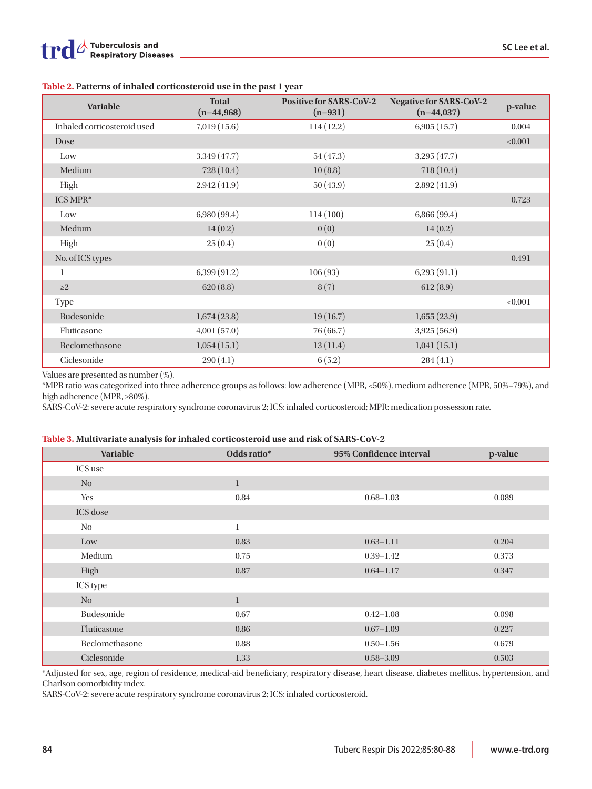**Table 2. Patterns of inhaled corticosteroid use in the past 1 year**

| Variable                    | <b>Total</b><br>$(n=44,968)$ | <b>Positive for SARS-CoV-2</b><br>$(n=931)$ | <b>Negative for SARS-CoV-2</b><br>$(n=44,037)$ | p-value |
|-----------------------------|------------------------------|---------------------------------------------|------------------------------------------------|---------|
| Inhaled corticosteroid used | 7,019(15.6)                  | 114(12.2)                                   | 6,905(15.7)                                    | 0.004   |
| Dose                        |                              |                                             |                                                | < 0.001 |
| Low                         | 3,349 (47.7)                 | 54(47.3)                                    | 3,295(47.7)                                    |         |
| Medium                      | 728 (10.4)                   | 10(8.8)                                     | 718(10.4)                                      |         |
| High                        | 2,942(41.9)                  | 50(43.9)                                    | 2,892(41.9)                                    |         |
| ICS MPR*                    |                              |                                             |                                                | 0.723   |
| Low                         | 6,980 (99.4)                 | 114 (100)                                   | 6,866 (99.4)                                   |         |
| Medium                      | 14(0.2)                      | 0(0)                                        | 14(0.2)                                        |         |
| High                        | 25(0.4)                      | 0(0)                                        | 25(0.4)                                        |         |
| No. of ICS types            |                              |                                             |                                                | 0.491   |
| 1                           | 6,399 (91.2)                 | 106(93)                                     | 6,293(91.1)                                    |         |
| $\geq$ 2                    | 620(8.8)                     | 8(7)                                        | 612(8.9)                                       |         |
| Type                        |                              |                                             |                                                | < 0.001 |
| Budesonide                  | 1,674(23.8)                  | 19(16.7)                                    | 1,655(23.9)                                    |         |
| Fluticasone                 | 4,001(57.0)                  | 76 (66.7)                                   | 3,925(56.9)                                    |         |
| Beclomethasone              | 1,054(15.1)                  | 13(11.4)                                    | 1,041(15.1)                                    |         |
| Ciclesonide                 | 290(4.1)                     | 6(5.2)                                      | 284(4.1)                                       |         |

Values are presented as number (%).

\*MPR ratio was categorized into three adherence groups as follows: low adherence (MPR, <50%), medium adherence (MPR, 50%–79%), and high adherence (MPR, ≥80%).

SARS-CoV-2: severe acute respiratory syndrome coronavirus 2; ICS: inhaled corticosteroid; MPR: medication possession rate.

#### **Table 3. Multivariate analysis for inhaled corticosteroid use and risk of SARS-CoV-2**

| Variable       | Odds ratio*  | 95% Confidence interval | p-value |
|----------------|--------------|-------------------------|---------|
| ICS use        |              |                         |         |
| $\rm No$       | $\mathbf{1}$ |                         |         |
| Yes            | 0.84         | $0.68 - 1.03$           | 0.089   |
| ICS dose       |              |                         |         |
| N <sub>0</sub> | 1            |                         |         |
| Low            | 0.83         | $0.63 - 1.11$           | 0.204   |
| Medium         | 0.75         | $0.39 - 1.42$           | 0.373   |
| High           | 0.87         | $0.64 - 1.17$           | 0.347   |
| ICS type       |              |                         |         |
| N <sub>0</sub> | $\mathbf{1}$ |                         |         |
| Budesonide     | 0.67         | $0.42 - 1.08$           | 0.098   |
| Fluticasone    | 0.86         | $0.67 - 1.09$           | 0.227   |
| Beclomethasone | 0.88         | $0.50 - 1.56$           | 0.679   |
| Ciclesonide    | 1.33         | $0.58 - 3.09$           | 0.503   |

\*Adjusted for sex, age, region of residence, medical-aid beneficiary, respiratory disease, heart disease, diabetes mellitus, hypertension, and Charlson comorbidity index.

SARS-CoV-2: severe acute respiratory syndrome coronavirus 2; ICS: inhaled corticosteroid.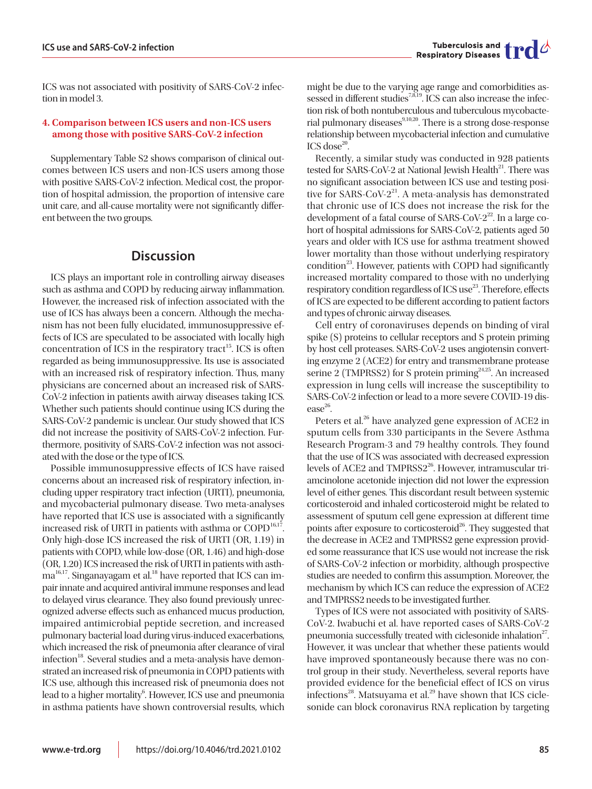ICS was not associated with positivity of SARS-CoV-2 infection in model 3.

#### **4. Comparison between ICS users and non-ICS users among those with positive SARS-CoV-2 infection**

Supplementary Table S2 shows comparison of clinical outcomes between ICS users and non-ICS users among those with positive SARS-CoV-2 infection. Medical cost, the proportion of hospital admission, the proportion of intensive care unit care, and all-cause mortality were not significantly different between the two groups.

### **Discussion**

ICS plays an important role in controlling airway diseases such as asthma and COPD by reducing airway inflammation. However, the increased risk of infection associated with the use of ICS has always been a concern. Although the mechanism has not been fully elucidated, immunosuppressive effects of ICS are speculated to be associated with locally high concentration of ICS in the respiratory tract<sup>15</sup>. ICS is often regarded as being immunosuppressive. Its use is associated with an increased risk of respiratory infection. Thus, many physicians are concerned about an increased risk of SARS-CoV-2 infection in patients awith airway diseases taking ICS. Whether such patients should continue using ICS during the SARS-CoV-2 pandemic is unclear. Our study showed that ICS did not increase the positivity of SARS-CoV-2 infection. Furthermore, positivity of SARS-CoV-2 infection was not associated with the dose or the type of ICS.

Possible immunosuppressive effects of ICS have raised concerns about an increased risk of respiratory infection, including upper respiratory tract infection (URTI), pneumonia, and mycobacterial pulmonary disease. Two meta-analyses have reported that ICS use is associated with a significantly increased risk of URTI in patients with asthma or  $\text{COPD}^{16,17}$ . Only high-dose ICS increased the risk of URTI (OR, 1.19) in patients with COPD, while low-dose (OR, 1.46) and high-dose (OR, 1.20) ICS increased the risk of URTI in patients with asth $ma^{16,17}$ . Singanayagam et al.<sup>18</sup> have reported that ICS can impair innate and acquired antiviral immune responses and lead to delayed virus clearance. They also found previously unrecognized adverse effects such as enhanced mucus production, impaired antimicrobial peptide secretion, and increased pulmonary bacterial load during virus-induced exacerbations, which increased the risk of pneumonia after clearance of viral infection<sup>18</sup>. Several studies and a meta-analysis have demonstrated an increased risk of pneumonia in COPD patients with ICS use, although this increased risk of pneumonia does not lead to a higher mortality<sup>6</sup>. However, ICS use and pneumonia in asthma patients have shown controversial results, which

might be due to the varying age range and comorbidities assessed in different studies<sup>7,8,19</sup>. ICS can also increase the infection risk of both nontuberculous and tuberculous mycobacterial pulmonary diseases<sup>9,10,20</sup>. There is a strong dose-response relationship between mycobacterial infection and cumulative  $ICS$  dose $20$ .

Recently, a similar study was conducted in 928 patients tested for SARS-CoV-2 at National Jewish Health<sup>21</sup>. There was no significant association between ICS use and testing positive for SARS-CoV-2<sup>21</sup>. A meta-analysis has demonstrated that chronic use of ICS does not increase the risk for the development of a fatal course of SARS-CoV- $2^{22}$ . In a large cohort of hospital admissions for SARS-CoV-2, patients aged 50 years and older with ICS use for asthma treatment showed lower mortality than those without underlying respiratory condition<sup>23</sup>. However, patients with COPD had significantly increased mortality compared to those with no underlying respiratory condition regardless of ICS use<sup>23</sup>. Therefore, effects of ICS are expected to be different according to patient factors and types of chronic airway diseases.

Cell entry of coronaviruses depends on binding of viral spike (S) proteins to cellular receptors and S protein priming by host cell proteases. SARS-CoV-2 uses angiotensin converting enzyme 2 (ACE2) for entry and transmembrane protease serine 2 (TMPRSS2) for S protein priming<sup>24,25</sup>. An increased expression in lung cells will increase the susceptibility to SARS-CoV-2 infection or lead to a more severe COVID-19 dis $ease<sup>26</sup>$ .

Peters et al.<sup>26</sup> have analyzed gene expression of ACE2 in sputum cells from 330 participants in the Severe Asthma Research Program-3 and 79 healthy controls. They found that the use of ICS was associated with decreased expression levels of ACE2 and TMPRSS2<sup>26</sup>. However, intramuscular triamcinolone acetonide injection did not lower the expression level of either genes. This discordant result between systemic corticosteroid and inhaled corticosteroid might be related to assessment of sputum cell gene expression at different time points after exposure to corticosteroid<sup>26</sup>. They suggested that the decrease in ACE2 and TMPRSS2 gene expression provided some reassurance that ICS use would not increase the risk of SARS-CoV-2 infection or morbidity, although prospective studies are needed to confirm this assumption. Moreover, the mechanism by which ICS can reduce the expression of ACE2 and TMPRSS2 needs to be investigated further.

Types of ICS were not associated with positivity of SARS-CoV-2. Iwabuchi et al. have reported cases of SARS-CoV-2 pneumonia successfully treated with ciclesonide inhalation<sup>27</sup>. However, it was unclear that whether these patients would have improved spontaneously because there was no control group in their study. Nevertheless, several reports have provided evidence for the beneficial effect of ICS on virus infections<sup>28</sup>. Matsuyama et al.<sup>29</sup> have shown that ICS ciclesonide can block coronavirus RNA replication by targeting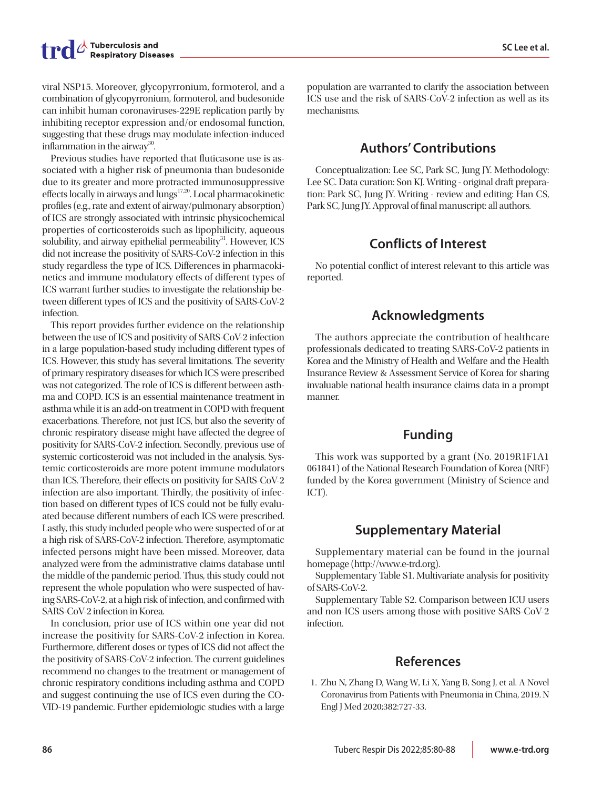viral NSP15. Moreover, glycopyrronium, formoterol, and a combination of glycopyrronium, formoterol, and budesonide can inhibit human coronaviruses-229E replication partly by inhibiting receptor expression and/or endosomal function, suggesting that these drugs may modulate infection-induced inflammation in the airway<sup>30</sup>.

Previous studies have reported that fluticasone use is associated with a higher risk of pneumonia than budesonide due to its greater and more protracted immunosuppressive effects locally in airways and lungs<sup>17,20</sup>. Local pharmacokinetic profiles (e.g., rate and extent of airway/pulmonary absorption) of ICS are strongly associated with intrinsic physicochemical properties of corticosteroids such as lipophilicity, aqueous solubility, and airway epithelial permeability $31$ . However, ICS did not increase the positivity of SARS-CoV-2 infection in this study regardless the type of ICS. Differences in pharmacokinetics and immune modulatory effects of different types of ICS warrant further studies to investigate the relationship between different types of ICS and the positivity of SARS-CoV-2 infection.

This report provides further evidence on the relationship between the use of ICS and positivity of SARS-CoV-2 infection in a large population-based study including different types of ICS. However, this study has several limitations. The severity of primary respiratory diseases for which ICS were prescribed was not categorized. The role of ICS is different between asthma and COPD. ICS is an essential maintenance treatment in asthma while it is an add-on treatment in COPD with frequent exacerbations. Therefore, not just ICS, but also the severity of chronic respiratory disease might have affected the degree of positivity for SARS-CoV-2 infection. Secondly, previous use of systemic corticosteroid was not included in the analysis. Systemic corticosteroids are more potent immune modulators than ICS. Therefore, their effects on positivity for SARS-CoV-2 infection are also important. Thirdly, the positivity of infection based on different types of ICS could not be fully evaluated because different numbers of each ICS were prescribed. Lastly, this study included people who were suspected of or at a high risk of SARS-CoV-2 infection. Therefore, asymptomatic infected persons might have been missed. Moreover, data analyzed were from the administrative claims database until the middle of the pandemic period. Thus, this study could not represent the whole population who were suspected of having SARS-CoV-2, at a high risk of infection, and confirmed with SARS-CoV-2 infection in Korea.

In conclusion, prior use of ICS within one year did not increase the positivity for SARS-CoV-2 infection in Korea. Furthermore, different doses or types of ICS did not affect the the positivity of SARS-CoV-2 infection. The current guidelines recommend no changes to the treatment or management of chronic respiratory conditions including asthma and COPD and suggest continuing the use of ICS even during the CO-VID-19 pandemic. Further epidemiologic studies with a large

population are warranted to clarify the association between ICS use and the risk of SARS-CoV-2 infection as well as its mechanisms.

## **Authors' Contributions**

Conceptualization: Lee SC, Park SC, Jung JY. Methodology: Lee SC. Data curation: Son KJ. Writing - original draft preparation: Park SC, Jung JY. Writing - review and editing: Han CS, Park SC, Jung JY. Approval of final manuscript: all authors.

## **Conflicts of Interest**

No potential conflict of interest relevant to this article was reported.

# **Acknowledgments**

The authors appreciate the contribution of healthcare professionals dedicated to treating SARS-CoV-2 patients in Korea and the Ministry of Health and Welfare and the Health Insurance Review & Assessment Service of Korea for sharing invaluable national health insurance claims data in a prompt manner.

# **Funding**

This work was supported by a grant (No. 2019R1F1A1 061841) of the National Research Foundation of Korea (NRF) funded by the Korea government (Ministry of Science and ICT).

# **Supplementary Material**

Supplementary material can be found in the journal homepage (http://www.e-trd.org).

Supplementary Table S1. Multivariate analysis for positivity of SARS-CoV-2.

Supplementary Table S2. Comparison between ICU users and non-ICS users among those with positive SARS-CoV-2 infection.

### **References**

1. Zhu N, Zhang D, Wang W, Li X, Yang B, Song J, et al. A Novel Coronavirus from Patients with Pneumonia in China, 2019. N Engl J Med 2020;382:727-33.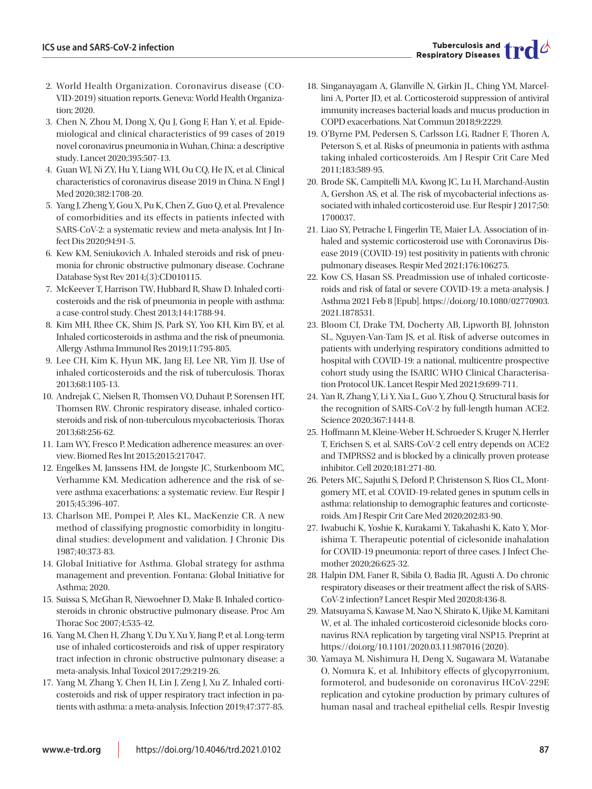- 2. World Health Organization. Coronavirus disease (CO-VID-2019) situation reports. Geneva: World Health Organization; 2020.
- 3. Chen N, Zhou M, Dong X, Qu J, Gong F, Han Y, et al. Epidemiological and clinical characteristics of 99 cases of 2019 novel coronavirus pneumonia in Wuhan, China: a descriptive study. Lancet 2020;395:507-13.
- 4. Guan WJ, Ni ZY, Hu Y, Liang WH, Ou CQ, He JX, et al. Clinical characteristics of coronavirus disease 2019 in China. N Engl J Med 2020;382:1708-20.
- 5. Yang J, Zheng Y, Gou X, Pu K, Chen Z, Guo Q, et al. Prevalence of comorbidities and its effects in patients infected with SARS-CoV-2: a systematic review and meta-analysis. Int J Infect Dis 2020;94:91-5.
- 6. Kew KM, Seniukovich A. Inhaled steroids and risk of pneumonia for chronic obstructive pulmonary disease. Cochrane Database Syst Rev 2014;(3):CD010115.
- 7. McKeever T, Harrison TW, Hubbard R, Shaw D. Inhaled corticosteroids and the risk of pneumonia in people with asthma: a case-control study. Chest 2013;144:1788-94.
- 8. Kim MH, Rhee CK, Shim JS, Park SY, Yoo KH, Kim BY, et al. Inhaled corticosteroids in asthma and the risk of pneumonia. Allergy Asthma Immunol Res 2019;11:795-805.
- 9. Lee CH, Kim K, Hyun MK, Jang EJ, Lee NR, Yim JJ. Use of inhaled corticosteroids and the risk of tuberculosis. Thorax 2013;68:1105-13.
- 10. Andrejak C, Nielsen R, Thomsen VO, Duhaut P, Sorensen HT, Thomsen RW. Chronic respiratory disease, inhaled corticosteroids and risk of non-tuberculous mycobacteriosis. Thorax 2013;68:256-62.
- 11. Lam WY, Fresco P. Medication adherence measures: an overview. Biomed Res Int 2015;2015:217047.
- 12. Engelkes M, Janssens HM, de Jongste JC, Sturkenboom MC, Verhamme KM. Medication adherence and the risk of severe asthma exacerbations: a systematic review. Eur Respir J 2015;45:396-407.
- 13. Charlson ME, Pompei P, Ales KL, MacKenzie CR. A new method of classifying prognostic comorbidity in longitudinal studies: development and validation. J Chronic Dis 1987;40:373-83.
- 14. Global Initiative for Asthma. Global strategy for asthma management and prevention. Fontana: Global Initiative for Asthma; 2020.
- 15. Suissa S, McGhan R, Niewoehner D, Make B. Inhaled corticosteroids in chronic obstructive pulmonary disease. Proc Am Thorac Soc 2007;4:535-42.
- 16. Yang M, Chen H, Zhang Y, Du Y, Xu Y, Jiang P, et al. Long-term use of inhaled corticosteroids and risk of upper respiratory tract infection in chronic obstructive pulmonary disease: a meta-analysis. Inhal Toxicol 2017;29:219-26.
- 17. Yang M, Zhang Y, Chen H, Lin J, Zeng J, Xu Z. Inhaled corticosteroids and risk of upper respiratory tract infection in patients with asthma: a meta-analysis. Infection 2019;47:377-85.
- 18. Singanayagam A, Glanville N, Girkin JL, Ching YM, Marcellini A, Porter JD, et al. Corticosteroid suppression of antiviral immunity increases bacterial loads and mucus production in COPD exacerbations. Nat Commun 2018;9:2229.
- 19. O'Byrne PM, Pedersen S, Carlsson LG, Radner F, Thoren A, Peterson S, et al. Risks of pneumonia in patients with asthma taking inhaled corticosteroids. Am J Respir Crit Care Med 2011;183:589-95.
- 20. Brode SK, Campitelli MA, Kwong JC, Lu H, Marchand-Austin A, Gershon AS, et al. The risk of mycobacterial infections associated with inhaled corticosteroid use. Eur Respir J 2017;50: 1700037.
- 21. Liao SY, Petrache I, Fingerlin TE, Maier LA. Association of inhaled and systemic corticosteroid use with Coronavirus Disease 2019 (COVID-19) test positivity in patients with chronic pulmonary diseases. Respir Med 2021;176:106275.
- 22. Kow CS, Hasan SS. Preadmission use of inhaled corticosteroids and risk of fatal or severe COVID-19: a meta-analysis. J Asthma 2021 Feb 8 [Epub]. https://doi.org/10.1080/02770903. 2021.1878531.
- 23. Bloom CI, Drake TM, Docherty AB, Lipworth BJ, Johnston SL, Nguyen-Van-Tam JS, et al. Risk of adverse outcomes in patients with underlying respiratory conditions admitted to hospital with COVID-19: a national, multicentre prospective cohort study using the ISARIC WHO Clinical Characterisation Protocol UK. Lancet Respir Med 2021;9:699-711.
- 24. Yan R, Zhang Y, Li Y, Xia L, Guo Y, Zhou Q. Structural basis for the recognition of SARS-CoV-2 by full-length human ACE2. Science 2020;367:1444-8.
- 25. Hoffmann M, Kleine-Weber H, Schroeder S, Kruger N, Herrler T, Erichsen S, et al. SARS-CoV-2 cell entry depends on ACE2 and TMPRSS2 and is blocked by a clinically proven protease inhibitor. Cell 2020;181:271-80.
- 26. Peters MC, Sajuthi S, Deford P, Christenson S, Rios CL, Montgomery MT, et al. COVID-19-related genes in sputum cells in asthma: relationship to demographic features and corticosteroids. Am J Respir Crit Care Med 2020;202:83-90.
- 27. Iwabuchi K, Yoshie K, Kurakami Y, Takahashi K, Kato Y, Morishima T. Therapeutic potential of ciclesonide inahalation for COVID-19 pneumonia: report of three cases. J Infect Chemother 2020;26:625-32.
- 28. Halpin DM, Faner R, Sibila O, Badia JR, Agusti A. Do chronic respiratory diseases or their treatment affect the risk of SARS-CoV-2 infection? Lancet Respir Med 2020;8:436-8.
- 29. Matsuyama S, Kawase M, Nao N, Shirato K, Ujike M, Kamitani W, et al. The inhaled corticosteroid ciclesonide blocks coronavirus RNA replication by targeting viral NSP15. Preprint at https://doi.org/10.1101/2020.03.11.987016 (2020).
- 30. Yamaya M, Nishimura H, Deng X, Sugawara M, Watanabe O, Nomura K, et al. Inhibitory effects of glycopyrronium, formoterol, and budesonide on coronavirus HCoV-229E replication and cytokine production by primary cultures of human nasal and tracheal epithelial cells. Respir Investig